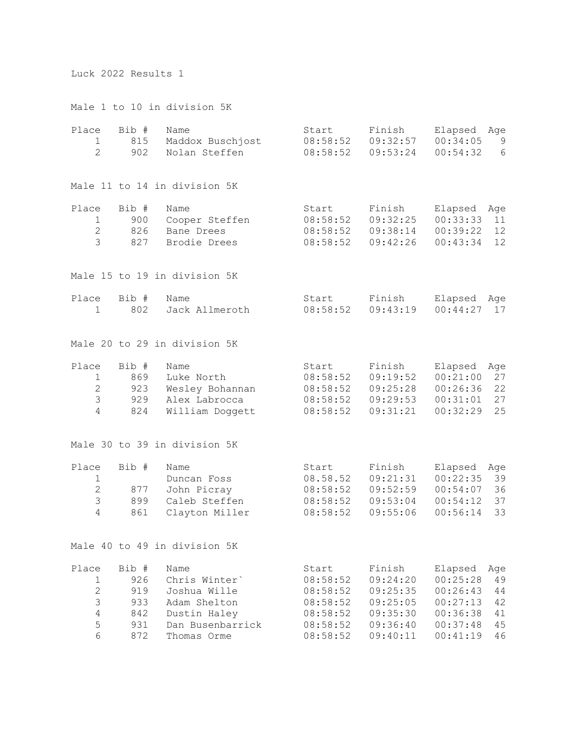## Luck 2022 Results 1

Male 1 to 10 in division 5K

| Place<br>1<br>$\overline{2}$                                  | Bib #<br>815<br>902                             | Name<br>Maddox Buschjost<br>Nolan Steffen                                                                | Start<br>08:58:52<br>08:58:52                                                 | Finish<br>09:32:57<br>09:53:24                                                 | Elapsed<br>Age<br>00:34:05<br>00:54:32                                                                                     | 9<br>6 |
|---------------------------------------------------------------|-------------------------------------------------|----------------------------------------------------------------------------------------------------------|-------------------------------------------------------------------------------|--------------------------------------------------------------------------------|----------------------------------------------------------------------------------------------------------------------------|--------|
|                                                               |                                                 | Male 11 to 14 in division 5K                                                                             |                                                                               |                                                                                |                                                                                                                            |        |
| Place<br>1<br>$\overline{2}$<br>$\mathfrak{Z}$                | Bib #<br>900<br>826<br>827                      | Name<br>Cooper Steffen<br>Bane Drees<br>Brodie Drees                                                     | Start<br>08:58:52<br>08:58:52<br>08:58:52                                     | Finish<br>09:32:25<br>09:38:14<br>09:42:26                                     | Elapsed<br>Age<br>00:33:33<br>11<br>00:39:22<br>12<br>00:43:34<br>12                                                       |        |
|                                                               |                                                 | Male 15 to 19 in division 5K                                                                             |                                                                               |                                                                                |                                                                                                                            |        |
| Place<br>1                                                    | Bib #<br>802                                    | Name<br>Jack Allmeroth                                                                                   | Start<br>08:58:52                                                             | Finish<br>09:43:19                                                             | Elapsed<br>Age<br>00:44:27<br>17                                                                                           |        |
|                                                               |                                                 | Male 20 to 29 in division 5K                                                                             |                                                                               |                                                                                |                                                                                                                            |        |
| Place<br>$\mathbf 1$<br>$\overline{2}$<br>3<br>$\overline{4}$ | Bib #<br>869<br>923<br>929<br>824               | Name<br>Luke North<br>Wesley Bohannan<br>Alex Labrocca<br>William Doggett                                | Start<br>08:58:52<br>08:58:52<br>08:58:52<br>08:58:52                         | Finish<br>09:19:52<br>09:25:28<br>09:29:53<br>09:31:21                         | Elapsed<br>Age<br>27<br>00:21:00<br>00:26:36<br>22<br>27<br>00:31:01<br>25<br>00:32:29                                     |        |
|                                                               |                                                 | Male 30 to 39 in division 5K                                                                             |                                                                               |                                                                                |                                                                                                                            |        |
| Place<br>1<br>$\mathbf{2}$<br>3<br>$\overline{4}$             | Bib #<br>877<br>899<br>861                      | Name<br>Duncan Foss<br>John Picray<br>Caleb Steffen<br>Clayton Miller                                    | Start<br>08.58.52<br>08:58:52<br>08:58:52<br>08:58:52                         | Finish<br>09:21:31<br>09:52:59<br>09:53:04<br>09:55:06                         | Elapsed<br>Age<br>00:22:35<br>39<br>00:54:07<br>36<br>00:54:12<br>37<br>00:56:14<br>33                                     |        |
|                                                               |                                                 | Male 40 to 49 in division 5K                                                                             |                                                                               |                                                                                |                                                                                                                            |        |
| Place<br>1<br>$\mathbf{2}$<br>3<br>$\overline{4}$<br>5<br>6   | Bib #<br>926<br>919<br>933<br>842<br>931<br>872 | Name<br>Chris Winter'<br>Joshua Wille<br>Adam Shelton<br>Dustin Haley<br>Dan Busenbarrick<br>Thomas Orme | Start<br>08:58:52<br>08:58:52<br>08:58:52<br>08:58:52<br>08:58:52<br>08:58:52 | Finish<br>09:24:20<br>09:25:35<br>09:25:05<br>09:35:30<br>09:36:40<br>09:40:11 | Elapsed<br>Age<br>49<br>00:25:28<br>00:26:43<br>44<br>00:27:13<br>42<br>00:36:38<br>41<br>00:37:48<br>45<br>00:41:19<br>46 |        |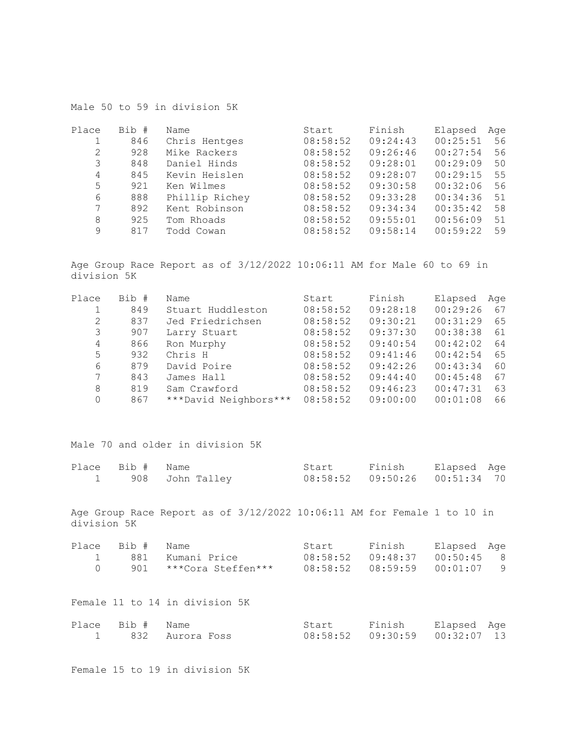| Male 50 to 59 in division 5K |
|------------------------------|
|------------------------------|

| Place | Bib # | Name           | Start    | Finish   | Elapsed  | Age |
|-------|-------|----------------|----------|----------|----------|-----|
|       | 846   | Chris Hentges  | 08:58:52 | 09:24:43 | 00:25:51 | 56  |
| 2     | 928   | Mike Rackers   | 08:58:52 | 09:26:46 | 00:27:54 | 56  |
| 3     | 848   | Daniel Hinds   | 08:58:52 | 09:28:01 | 00:29:09 | 50  |
| 4     | 845   | Kevin Heislen  | 08:58:52 | 09:28:07 | 00:29:15 | 55  |
| 5     | 921   | Ken Wilmes     | 08:58:52 | 09:30:58 | 00:32:06 | 56  |
| 6     | 888   | Phillip Richey | 08:58:52 | 09:33:28 | 00:34:36 | 51  |
| 7     | 892   | Kent Robinson  | 08:58:52 | 09:34:34 | 00:35:42 | 58  |
| 8     | 925   | Tom Rhoads     | 08:58:52 | 09:55:01 | 00:56:09 | 51  |
| 9     | 817   | Todd Cowan     | 08:58:52 | 09:58:14 | 00:59:22 | 59  |

Age Group Race Report as of 3/12/2022 10:06:11 AM for Male 60 to 69 in division 5K

| Place | Bib # | Name                  | Start    | Finish   | Elapsed  | Age |
|-------|-------|-----------------------|----------|----------|----------|-----|
|       | 849   | Stuart Huddleston     | 08:58:52 | 09:28:18 | 00:29:26 | 67  |
| 2     | 837   | Jed Friedrichsen      | 08:58:52 | 09:30:21 | 00:31:29 | 65  |
| 3     | 907   | Larry Stuart          | 08:58:52 | 09:37:30 | 00:38:38 | -61 |
| 4     | 866   | Ron Murphy            | 08:58:52 | 09:40:54 | 00:42:02 | 64  |
| 5     | 932   | Chris H               | 08:58:52 | 09:41:46 | 00:42:54 | 65  |
| 6     | 879   | David Poire           | 08:58:52 | 09:42:26 | 00:43:34 | 60  |
| 7     | 843   | James Hall            | 08:58:52 | 09:44:40 | 00:45:48 | 67  |
| 8     | 819   | Sam Crawford          | 08:58:52 | 09:46:23 | 00:47:31 | 63  |
| 0     | 867   | ***David Neighbors*** | 08:58:52 | 09:00:00 | 00:01:08 | 66  |

Male 70 and older in division 5K

| Place Bib # Name |                   | Start                            | Finish | Elapsed Age |  |
|------------------|-------------------|----------------------------------|--------|-------------|--|
|                  | 1 908 John Talley | 08:58:52  09:50:26  00:51:34  70 |        |             |  |

Age Group Race Report as of 3/12/2022 10:06:11 AM for Female 1 to 10 in division 5K

| Place Bib # Name |                        | Start | Finish                          | Elapsed Aqe |  |
|------------------|------------------------|-------|---------------------------------|-------------|--|
|                  | 881 - Kumani Price     |       | 08:58:52  09:48:37  00:50:45  8 |             |  |
|                  | 901 ***Cora Steffen*** |       |                                 |             |  |

Female 11 to 14 in division 5K

| Place Bib # Name |                   | Start | Finish Elapsed Age |  |
|------------------|-------------------|-------|--------------------|--|
|                  | 1 832 Aurora Foss |       |                    |  |

Female 15 to 19 in division 5K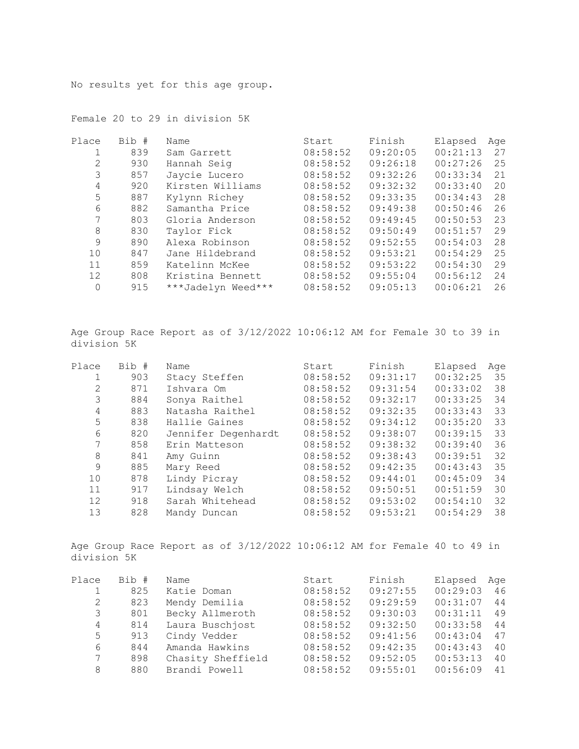No results yet for this age group.

| Place    | Bib # | Name               | Start    | Finish   | Elapsed  | Age |
|----------|-------|--------------------|----------|----------|----------|-----|
|          | 839   | Sam Garrett        | 08:58:52 | 09:20:05 | 00:21:13 | 27  |
| 2        | 930   | Hannah Seig        | 08:58:52 | 09:26:18 | 00:27:26 | 25  |
| 3        | 857   | Jaycie Lucero      | 08:58:52 | 09:32:26 | 00:33:34 | 21  |
| 4        | 920   | Kirsten Williams   | 08:58:52 | 09:32:32 | 00:33:40 | 20  |
| 5        | 887   | Kylynn Richey      | 08:58:52 | 09:33:35 | 00:34:43 | 28  |
| 6        | 882   | Samantha Price     | 08:58:52 | 09:49:38 | 00:50:46 | 26  |
| 7        | 803   | Gloria Anderson    | 08:58:52 | 09:49:45 | 00:50:53 | 23  |
| 8        | 830   | Taylor Fick        | 08:58:52 | 09:50:49 | 00:51:57 | 29  |
| 9        | 890   | Alexa Robinson     | 08:58:52 | 09:52:55 | 00:54:03 | 28  |
| 10       | 847   | Jane Hildebrand    | 08:58:52 | 09:53:21 | 00:54:29 | 25  |
| 11       | 859   | Katelinn McKee     | 08:58:52 | 09:53:22 | 00:54:30 | 29  |
| 12       | 808   | Kristina Bennett   | 08:58:52 | 09:55:04 | 00:56:12 | 24  |
| $\Omega$ | 915   | ***Jadelyn Weed*** | 08:58:52 | 09:05:13 | 00:06:21 | 26  |

Female 20 to 29 in division 5K

Age Group Race Report as of 3/12/2022 10:06:12 AM for Female 30 to 39 in division 5K

| Place | Bib # | Name                | Start    | Finish   | Elapsed  | Age |
|-------|-------|---------------------|----------|----------|----------|-----|
|       | 903   | Stacy Steffen       | 08:58:52 | 09:31:17 | 00:32:25 | 35  |
| 2     | 871   | Ishvara Om          | 08:58:52 | 09:31:54 | 00:33:02 | 38  |
| 3     | 884   | Sonya Raithel       | 08:58:52 | 09:32:17 | 00:33:25 | 34  |
| 4     | 883   | Natasha Raithel     | 08:58:52 | 09:32:35 | 00:33:43 | 33  |
| 5     | 838   | Hallie Gaines       | 08:58:52 | 09:34:12 | 00:35:20 | 33  |
| 6     | 820   | Jennifer Degenhardt | 08:58:52 | 09:38:07 | 00:39:15 | 33  |
|       | 858   | Erin Matteson       | 08:58:52 | 09:38:32 | 00:39:40 | 36  |
| 8     | 841   | Amy Guinn           | 08:58:52 | 09:38:43 | 00:39:51 | 32  |
| 9     | 885   | Mary Reed           | 08:58:52 | 09:42:35 | 00:43:43 | 35  |
| 10    | 878   | Lindy Picray        | 08:58:52 | 09:44:01 | 00:45:09 | 34  |
| 11    | 917   | Lindsay Welch       | 08:58:52 | 09:50:51 | 00:51:59 | 30  |
| 12    | 918   | Sarah Whitehead     | 08:58:52 | 09:53:02 | 00:54:10 | 32  |
| 13    | 828   | Mandy Duncan        | 08:58:52 | 09:53:21 | 00:54:29 | 38  |

Age Group Race Report as of 3/12/2022 10:06:12 AM for Female 40 to 49 in division 5K

| Place | Bib # | Name              | Start    | Finish   | Elapsed  | Age |
|-------|-------|-------------------|----------|----------|----------|-----|
|       | 825   | Katie Doman       | 08:58:52 | 09:27:55 | 00:29:03 | 46  |
| 2     | 823   | Mendy Demilia     | 08:58:52 | 09:29:59 | 00:31:07 | 44  |
| 3     | 801   | Becky Allmeroth   | 08:58:52 | 09:30:03 | 00:31:11 | 49  |
| 4     | 814   | Laura Buschjost   | 08:58:52 | 09:32:50 | 00:33:58 | 44  |
| 5     | 913   | Cindy Vedder      | 08:58:52 | 09:41:56 | 00:43:04 | 47  |
| 6     | 844   | Amanda Hawkins    | 08:58:52 | 09:42:35 | 00:43:43 | 40  |
| 7     | 898   | Chasity Sheffield | 08:58:52 | 09:52:05 | 00:53:13 | 40  |
| 8     | 880   | Brandi Powell     | 08:58:52 | 09:55:01 | 00:56:09 | 41  |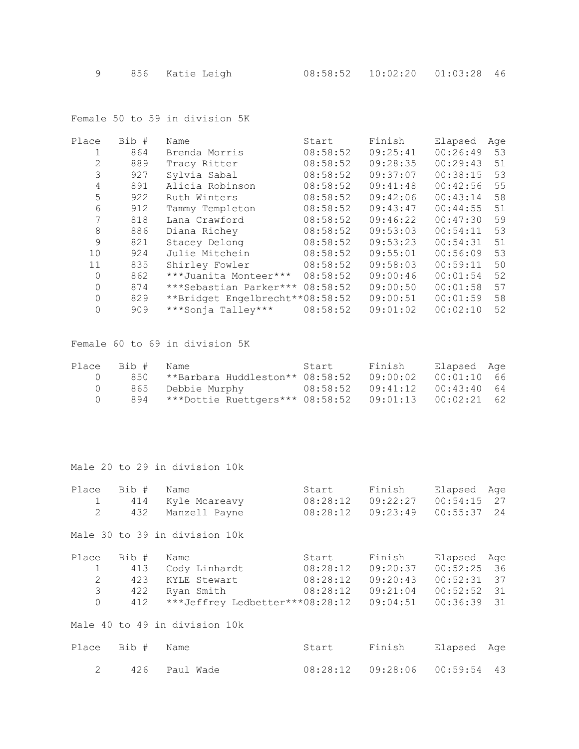Female 50 to 59 in division 5K

| Place        | Bib # | Name                            | Start    | Finish   | Elapsed  | Age |
|--------------|-------|---------------------------------|----------|----------|----------|-----|
| 1            | 864   | Brenda Morris                   | 08:58:52 | 09:25:41 | 00:26:49 | 53  |
| $\mathbf{2}$ | 889   | Tracy Ritter                    | 08:58:52 | 09:28:35 | 00:29:43 | 51  |
| 3            | 927   | Sylvia Sabal                    | 08:58:52 | 09:37:07 | 00:38:15 | 53  |
| 4            | 891   | Alicia Robinson                 | 08:58:52 | 09:41:48 | 00:42:56 | 55  |
| 5            | 922   | Ruth Winters                    | 08:58:52 | 09:42:06 | 00:43:14 | 58  |
| 6            | 912   | Tammy Templeton                 | 08:58:52 | 09:43:47 | 00:44:55 | 51  |
| 7            | 818   | Lana Crawford                   | 08:58:52 | 09:46:22 | 00:47:30 | 59  |
| $\,8\,$      | 886   | Diana Richey                    | 08:58:52 | 09:53:03 | 00:54:11 | 53  |
| 9            | 821   | Stacey Delong                   | 08:58:52 | 09:53:23 | 00:54:31 | 51  |
| 10           | 924   | Julie Mitchein                  | 08:58:52 | 09:55:01 | 00:56:09 | 53  |
| 11           | 835   | Shirley Fowler                  | 08:58:52 | 09:58:03 | 00:59:11 | 50  |
| 0            | 862   | ***Juanita Monteer***           | 08:58:52 | 09:00:46 | 00:01:54 | 52  |
| $\Omega$     | 874   | ***Sebastian Parker***          | 08:58:52 | 09:00:50 | 00:01:58 | 57  |
| $\Omega$     | 829   | **Bridget Engelbrecht**08:58:52 |          | 09:00:51 | 00:01:59 | 58  |
| 0            | 909   | ***Sonja Talley***              | 08:58:52 | 09:01:02 | 00:02:10 | 52  |
|              |       |                                 |          |          |          |     |

Female 60 to 69 in division 5K

|          | Place Bib # Name |                                     | Start             | Finish   | Elapsed Aqe   |  |
|----------|------------------|-------------------------------------|-------------------|----------|---------------|--|
| $($ )    |                  | 850 **Barbara Huddleston** 08:58:52 |                   | 09:00:02 | $00:01:10$ 66 |  |
| $\Omega$ |                  | 865 Debbie Murphy                   | 08:58:52 09:41:12 |          | $00:43:40$ 64 |  |
| (        |                  |                                     |                   |          | 00:02:21 62   |  |

Male 20 to 29 in division 10k

| Place<br>1<br>2                                          | Bib #<br>414<br>432               | Name<br>Kyle Mcareavy<br>Manzell Payne                                                 | Start<br>08:28:12<br>08:28:12             | Finish<br>09:22:27<br>09:23:49                         | Elapsed<br>Aqe<br>00:54:15<br>27<br>00:55:37<br>24                                     |
|----------------------------------------------------------|-----------------------------------|----------------------------------------------------------------------------------------|-------------------------------------------|--------------------------------------------------------|----------------------------------------------------------------------------------------|
|                                                          |                                   | Male 30 to 39 in division 10k                                                          |                                           |                                                        |                                                                                        |
| Place<br>$\mathbf 1$<br>$\mathbf{2}$<br>3<br>$\mathbf 0$ | Bib #<br>413<br>423<br>422<br>412 | Name<br>Cody Linhardt<br>KYLE Stewart<br>Ryan Smith<br>***Jeffrey Ledbetter***08:28:12 | Start<br>08:28:12<br>08:28:12<br>08:28:12 | Finish<br>09:20:37<br>09:20:43<br>09:21:04<br>09:04:51 | Elapsed<br>Aqe<br>00:52:25<br>36<br>00:52:31<br>37<br>00:52:52<br>31<br>00:36:39<br>31 |
|                                                          |                                   | Male 40 to 49 in division 10k                                                          |                                           |                                                        |                                                                                        |
| Place                                                    | Bib #                             | Name                                                                                   | Start                                     | Finish                                                 | Elapsed<br>Age                                                                         |
| 2                                                        | 426                               | Paul Wade                                                                              | 08:28:12                                  | 09:28:06                                               | 00:59:54<br>43                                                                         |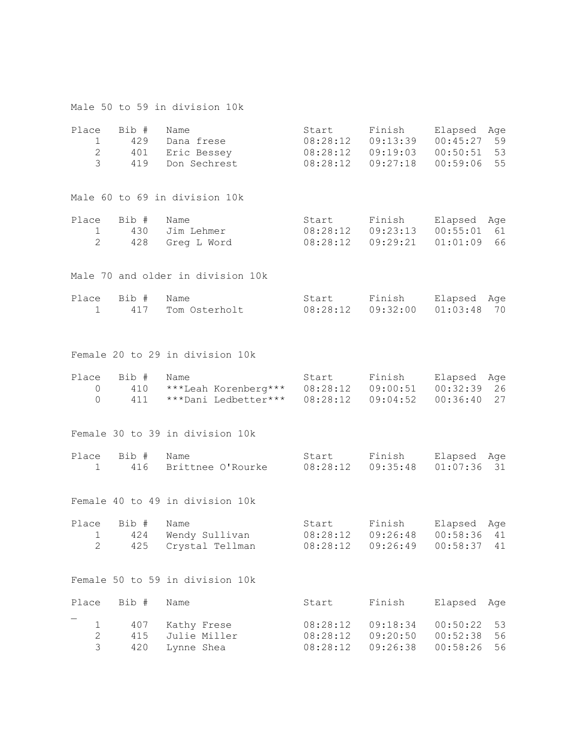|                                              |                            | Male 50 to 59 in division 10k                                          |                                  |                                                       |                                                                      |
|----------------------------------------------|----------------------------|------------------------------------------------------------------------|----------------------------------|-------------------------------------------------------|----------------------------------------------------------------------|
| Place<br>$\mathbf{1}$<br>$\overline{c}$<br>3 | Bib #<br>429<br>401<br>419 | Name<br>Dana frese<br>Eric Bessey<br>Don Sechrest                      | Start<br>$08:28:12$ $09:13:39$   | Finish<br>08:28:12 09:19:03<br>$08:28:12$ $09:27:18$  | Elapsed<br>Age<br>00:45:27<br>59<br>00:50:51<br>53<br>00:59:06<br>55 |
|                                              |                            | Male 60 to 69 in division 10k                                          |                                  |                                                       |                                                                      |
| Place<br>1<br>2                              | Bib #<br>430               | Name<br>Jim Lehmer<br>428 Greg L Word                                  | Start                            | Finish<br>$08:28:12$ $09:23:13$<br>08:28:12  09:29:21 | Elapsed<br>Age<br>00:55:01<br>61<br>01:01:09<br>66                   |
|                                              |                            | Male 70 and older in division 10k                                      |                                  |                                                       |                                                                      |
| Place<br>$\mathbf{1}$                        | Bib #<br>417               | Name<br>Tom Osterholt                                                  |                                  | Start Finish<br>$08:28:12$ $09:32:00$                 | Elapsed<br>Age<br>01:03:48<br>70                                     |
|                                              |                            | Female 20 to 29 in division 10k                                        |                                  |                                                       |                                                                      |
| Place<br>0<br>$\Omega$                       | Bib #<br>410<br>411        | Name<br>***Leah Korenberg*** 08:28:12 09:00:51<br>***Dani Ledbetter*** | Start<br>08:28:12                | Finish<br>09:04:52                                    | Elapsed<br>Age<br>00:32:39<br>26<br>00:36:40<br>27                   |
|                                              |                            | Female 30 to 39 in division 10k                                        |                                  |                                                       |                                                                      |
| Place<br>1                                   | Bib #<br>416               | Name<br>Brittnee O'Rourke                                              |                                  | Start Finish<br>$08:28:12$ $09:35:48$                 | Elapsed<br>Age<br>01:07:36<br>31                                     |
|                                              |                            | Female 40 to 49 in division 10k                                        |                                  |                                                       |                                                                      |
| Place<br>1<br>$\overline{2}$                 | Bib #<br>424<br>425        | Name<br>Wendy Sullivan<br>Crystal Tellman                              | Start<br>08:28:12<br>08:28:12    | Finish<br>09:26:48<br>09:26:49                        | Elapsed<br>Age<br>00:58:36<br>41<br>00:58:37<br>41                   |
|                                              |                            | Female 50 to 59 in division 10k                                        |                                  |                                                       |                                                                      |
| Place                                        | Bib #                      | Name                                                                   | Start                            | Finish                                                | Elapsed<br>Age                                                       |
| $\mathbf 1$<br>$\mathbf{2}$<br>3             | 407<br>415<br>420          | Kathy Frese<br>Julie Miller<br>Lynne Shea                              | 08:28:12<br>08:28:12<br>08:28:12 | 09:18:34<br>09:20:50<br>09:26:38                      | 00:50:22<br>53<br>00:52:38<br>56<br>00:58:26<br>56                   |